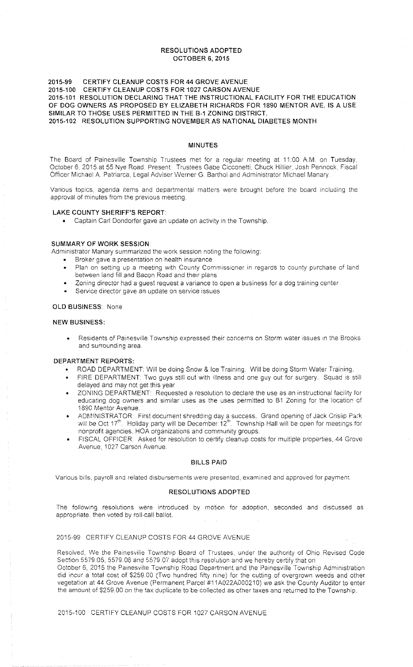## RESOLUTIONS ADOPTED OCTOBER 6, 2015

### 2015-99 CERTIFY CLEANUP COSTS FOR 44 GROVE AVENUE 2015-100 CERTIFY CLEANUP COSTS FOR 1027 CARSON AVENUE 2015-101 RESOLUTION DECLARING THAT THE INSTRUCTIONAL FACILITY FOR THE EDUCATION OF DOG OWNERS AS PROPOSED BY ELIZABETH RICHARDS FOR 1890 MENTOR AVE. IS A USE SIMILAR TO THOSE USES PERMITTED IN THE B-1 ZONING DISTRICT. 2015-102 RESOLUTION SUPPORTING NOVEMBER AS NATIONAL DIABETES MONTH

# MINUTES

The Board of Painesville Township Trustees met for a regular meeting at 11 :00 AM. on Tuesday, October 6, 2015 at 55 Nye Road. Present: Trustees Gabe Cicconetti, Chuck Hillier, Josh Pennock, Fiscal Officer Michael A. Patriarca, Legal Adviser Werner G. Barthol and Administrator Michael Manary.

Various topics, agenda items and departmental matters were brought before the board including the approval of minutes from the previous meeting.

#### LAKE COUNTY SHERIFF'S REPORT

• Captain Carl Dondorfer gave an update on activity in the Township.

#### SUMMARY OF WORK SESSION

Administrator Manary summarized the work session noting the following:

- Broker gave a presentation on health insurance
- Plan on setting up a meeting with County Commissioner in regards to county purchase of land between land fill and Bacon Road and their plans
- Zoning director had a guest request a variance to open a business for a dog training center
- Service director gave an update on service issues

#### OLD BUSINESS: None

#### NEW BUSINESS:

Residents of Painesville Township expressed their concerns on Storm water issues in the Brooks and surrounding area.

## DEPARTMENT REPORTS:

- ROAD DEPARTMENT: Will be doing Snow & Ice Training. Will be doing Storm Water Training.
- FIRE DEPARTMENT: Two guys still out with illness and one guy out for surgery. Squad is still delayed and may not get this year
- ZONING DEPARTMENT: Requested a resolution to declare the use as an instructional facility for educating dog owners and similar uses as the uses permitted to 81 Zoning for the location cf 1890 Mentor Avenue.
- ADMINISTRATOR: First document shredding day a success. Grand opening of Jack Crisiip Park will be Oct 17<sup>th</sup>. Holiday party will be December 12<sup>th</sup>. Township Hall will be open for meetings for nonprofit agencies. HOA organizations and community groups.
- FISCAL OFFICER: Asked for resolution to certify cleanup costs for multiple properties, 44 Grove Avenue, 1027 Carson Avenue.

#### BILLS PAID

Various bills. payroll and related disbursements were presented. examined and approved for payment.

### RESOLUTIONS ADOPTED

The following resolutions were introduced by motion for adoption, seconded and discussed as appropriate, then voted by roll-call ballot.

# 2015-99 CERTIFY CLEANUP COSTS FOR 44 GROVE AVENUE

Resolved, We the Painesviiie Township Board of Trustees. under the authority of Ohio Revised Code Section 5579:05, 5579.06 and 5579.07 adopt this resolution and we hereby certify that on October 6, 2015 the Painesville Township Road Department and the Painesville Township Administration did incur a total cost of \$259.00 (Two hundred fifty nine) for the cutting of overgrown weeds and other vegetation at 44 Grove Avenue (Permanent Parcel #11A022A000210) we ask the County Auditor to enter the amount of \$259.00 on the tax duplicate to be collected as other taxes and returned to the Township

2015-100 CERTIFY CLEANUP COSTS FOR 1027 CARSON AVENUE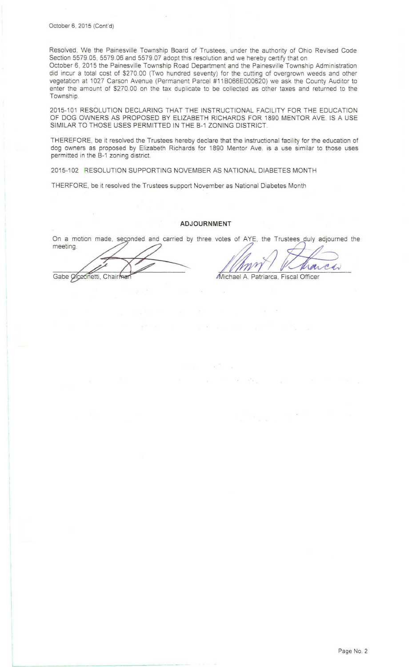Resolved, We the Painesville Township Board of Trustees, under the authority of Ohio Revised Code Section 5579.05, 5579.06 and 5579.07 adopt this resolution and we hereby certify that on

October 6, 2015 the Painesville Township Road Department and the Painesville Township Administration did incur a total cost of \$270.00 (Two hundred seventy) for the cutting of overgrown weeds and other vegetation at 1027 Carson Avenue (Permanent Parcel #11 B066E000620) we ask the County Auditor to enter the amount of \$270.00 on the tax duplicate to be collected as other taxes and returned to the Township.

2015-101 RESOLUTION DECLARING THAT THE INSTRUCTIONAL FACILITY FOR THE EDUCATION OF DOG OWNERS AS PROPOSED BY ELIZABETH RICHARDS FOR 1890 MENTOR AVE. IS A USE SIMILAR TO THOSE USES PERMITTED IN THE B-1 ZONING DISTRICT.

THEREFORE, be it resolved the Trustees hereby declare that the instructional facility for the education of dog owners as proposed by Elizabeth Richards for 1890 Mentor Ave. is a use similar to those uses permitted in the B-1 zoning district.

2015-102 RESOLUTION SUPPORTING NOVEMBER AS NATIONAL DIABETES MONTH

THERFORE, be it resolved the Trustees support November as National Diabetes Month

# **ADJOURNMENT**

On a motion made, seconded and carried by three votes of AYE, the Trustees ADJOURNMENT<br>On a motion made, seconded and carried by three votes of AYE, the Trustees duly adjourn<br>meeting.

Gabe Creonetti, Chairman

Stes of AYE, the Trustees duly adjourned the<br>
MANY / Marca<br>
Michael A. Patriarca, Fiscal Officer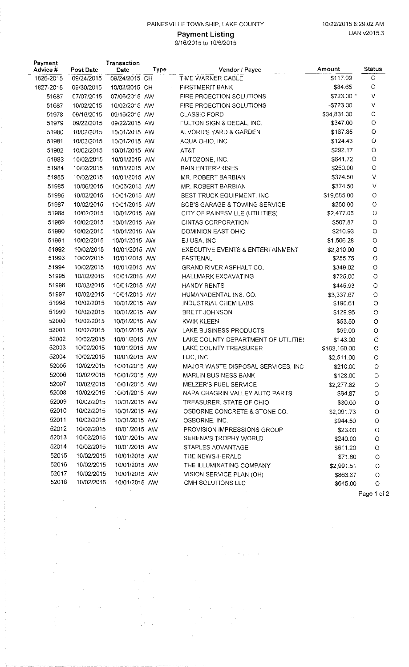# PAINESVILLE TOWNSHIP, LAKE COUNTY 10/22/2015 8:29:02 AM

9/16/2015 to 10/6/2015

| Payment<br>Advice # | Post Date                | Transaction<br>Date            | Type | Vendor / Payee                                       | Amount                | <b>Status</b>      |
|---------------------|--------------------------|--------------------------------|------|------------------------------------------------------|-----------------------|--------------------|
| 1826-2015           | 09/24/2015               | 09/24/2015 CH                  |      | TIME WARNER CABLE                                    | \$117.99              | $\mathsf{C}$       |
| 1827-2015           | 09/30/2015               | 10/02/2015 CH                  |      | <b>FIRSTMERIT BANK</b>                               | \$84.65               | $\mathsf{C}$       |
| 51687               | 07/07/2015               | 07/06/2015 AW                  |      | FIRE PROECTION SOLUTIONS                             | \$723.00 *            | $\vee$             |
| 51687               | 10/02/2015               | 10/02/2015 AW                  |      | FIRE PROECTION SOLUTIONS                             | $-$723.00$            | $\vee$             |
| 51978               | 09/16/2015               | 09/16/2015 AW                  |      | <b>CLASSIC FORD</b>                                  | \$34,831.30           | $\mathsf C$        |
| 51979               | 09/22/2015               | 09/22/2015 AW                  |      | FULTON SIGN & DECAL, INC.                            | \$347.00              | $\bigcirc$         |
| 51980               | 10/02/2015               | 10/01/2015 AW                  |      | ALVORD'S YARD & GARDEN                               | \$187.85              | $\circ$            |
| 51981               | 10/02/2015               | 10/01/2015 AW                  |      | AQUA OHIO, INC.                                      | \$124.43              | $\circ$            |
| 51982               | 10/02/2015               | 10/01/2015 AW                  |      | AT&T                                                 | \$292.17              | $\circ$            |
| 51983               | 10/02/2015               | 10/01/2015 AW                  |      | AUTOZONE, INC.                                       | \$641.72              | $\circ$            |
| 51984               | 10/02/2015               | 10/01/2015 AW                  |      | <b>BAIN ENTERPRISES</b>                              | \$250.00              | $\bigcirc$         |
| 51985               | 10/02/2015               | 10/01/2015 AW                  |      | MR. ROBERT BARBIAN                                   | \$374.50              | $\vee$             |
| 51985               | 10/06/2015               | 10/06/2015 AW                  |      | MR. ROBERT BARBIAN                                   | $-$374.50$            | V                  |
| 51986               | 10/02/2015               | 10/01/2015 AW                  |      | BEST TRUCK EQUIPMENT, INC.                           | \$19,685.00           | $\circ$            |
| 51987               | 10/02/2015               | 10/01/2015 AW                  |      | BOB'S GARAGE & TOWING SERVICE                        | \$250.00              | $\circ$            |
| 51988               | 10/02/2015               | 10/01/2015 AW                  |      | CITY OF PAINESVILLE (UTILITIES)                      | \$2,477.06            | $\circ$            |
| 51989               | 10/02/2015               | 10/01/2015 AW                  |      | CINTAS CORPORATION                                   | \$507.87              | $\circ$            |
| 51990               | 10/02/2015               | 10/01/2015 AW                  |      | DOMINION EAST OHIO                                   | \$210.93              | O                  |
| 51991               | 10/02/2015               | 10/01/2015 AW                  |      | EJ USA, INC.                                         | \$1,506.28            | $\circ$            |
| 51992               | 10/02/2015               | 10/01/2015 AW                  |      | EXECUTIVE EVENTS & ENTERTAINMENT                     | \$2,310.00            | O                  |
| 51993               | 10/02/2015               | 10/01/2015 AW                  |      | <b>FASTENAL</b>                                      | \$255.75              | O                  |
| 51994               | 10/02/2015               | 10/01/2015 AW                  |      | GRAND RIVER ASPHALT CO.                              | \$349.02              | $\circ$            |
| 51995               | 10/02/2015               | 10/01/2015 AW                  |      | <b>HALLMARK EXCAVATING</b>                           | \$725.00              | $\circ$            |
| 51996               | 10/02/2015               | 10/01/2015 AW                  |      | HANDY RENTS                                          | \$445.93              | O                  |
| 51997               | 10/02/2015               | 10/01/2015 AW                  |      | HUMANADENTAL INS. CO.                                | \$3,337.67            | $\circ$            |
| 51998               | 10/02/2015               | 10/01/2015 AW                  |      | INDUSTRIAL CHEM LABS                                 | \$190.61              | $\circ$            |
| 51999               | 10/02/2015               | 10/01/2015 AW                  |      | <b>BRETT JOHNSON</b>                                 | \$129.95              | $\circ$            |
| 52000               | 10/02/2015               | 10/01/2015 AW                  |      | <b>KWIK KLEEN</b>                                    | \$53.50               | $\circ$            |
| 52001               | 10/02/2015               | 10/01/2015 AW                  |      | LAKE BUSINESS PRODUCTS                               | \$99.00               | $\circ$            |
| 52002<br>52003      | 10/02/2015               | 10/01/2015 AW                  |      | LAKE COUNTY DEPARTMENT OF UTILITIES                  | \$143.00              | $\circ$            |
| 52004               | 10/02/2015               | 10/01/2015 AW                  |      | LAKE COUNTY TREASURER                                | \$163,160.00          | $\circ$            |
| 52005               | 10/02/2015<br>10/02/2015 | 10/01/2015 AW<br>10/01/2015 AW |      | LDC, INC.                                            | \$2,511.00            | O                  |
| 52006               | 10/02/2015               |                                |      | MAJOR WASTE DISPOSAL SERVICES, INC.                  | \$210.00              | O                  |
| 52007               | 10/02/2015               | 10/01/2015 AW                  |      | <b>MARLIN BUSINESS BANK</b><br>MELZER'S FUEL SERVICE | \$128.00              | $\circ$            |
| 52008               | 10/02/2015               | 10/01/2015 AW<br>10/01/2015 AW |      | NAPA CHAGRIN VALLEY AUTO PARTS                       | \$2,277.82            | O                  |
| 52009               | 10/02/2015               | 10/01/2015 AW                  |      | TREASURER, STATE OF OHIO                             | \$64.87               | $\circ$            |
| 52010               | 10/02/2015               | 10/01/2015 AW                  |      | OSBORNE CONCRETE & STONE CO.                         | \$30.00<br>\$2,091.73 | $\circ$            |
| 52011               | 10/02/2015               | 10/01/2015 AW                  |      | OSBORNE INC.                                         |                       | $\circ$            |
| 52012               | 10/02/2015               | 10/01/2015 AW                  |      |                                                      | \$944.50              | $\circ$            |
| 52013               | 10/02/2015               | 10/01/2015 AW                  |      | PROVISION IMPRESSIONS GROUP<br>SERENA'S TROPHY WORLD | \$23.00               | $\circ$            |
| 52014               | 10/02/2015               | 10/01/2015 AW                  |      | STAPLES ADVANTAGE                                    | \$240.00              | $\circ$            |
| 52015               | 10/02/2015               | 10/01/2015 AW                  |      | THE NEWS-HERALD                                      | \$611.20              | $\circ$            |
| 52016               | 10/02/2015               | 10/01/2015 AW                  |      | THE ILLUMINATING COMPANY                             | \$71.60<br>\$2,991.51 | $\circ$<br>$\circ$ |
| 52017               | 10/02/2015               | 10/01/2015 AW                  |      | VISION SERVICE PLAN (OH)                             | \$863.87              | $\circ$            |
| 52018               | 10/02/2015               | 10/01/2015 AW                  |      | CMH SOLUTIONS LLC                                    | \$645.00              | $\circ$            |
|                     |                          |                                |      |                                                      |                       |                    |

 $\overline{\phantom{a}}$ 

 $\sim$ 

 $\hat{\boldsymbol{\beta}}$ 

 $\alpha = 1/\beta$ 

 $\frac{1}{2}$ 

 $\hat{\mathcal{A}}$ 

 $\hat{\mathcal{F}}$ 

 $\hat{\boldsymbol{\beta}}$ 

 $\ddot{\phantom{0}}$ 

 $\hat{\mathcal{A}}$ 

 $\label{eq:2.1} \frac{d\mathbf{r}}{dt} = \frac{1}{2} \left( \frac{d\mathbf{r}}{dt} - \frac{d\mathbf{r}}{dt} \right) \mathbf{r}^2 + \frac{d\mathbf{r}}{dt}$ 

 $\theta_{\rm eff}$  and  $\theta_{\rm eff}$  and  $\theta_{\rm eff}$ 

 $\bar{z}$ 

 $\bar{z}$ 

 $\hat{\mathcal{A}}$ 

 $\overline{\phantom{a}}$ 

 $\sim$ 

 $\ddot{\phantom{0}}$ 

 $\overline{\phantom{a}}$ 

 $\hat{\mathcal{A}}$ 

 $\hat{\mathcal{L}}$ 

 $\chi^2/\chi^2$ 

Page 1 of 2

 $\mathcal{A}^{\mathcal{A}}$ 

 $\sim$